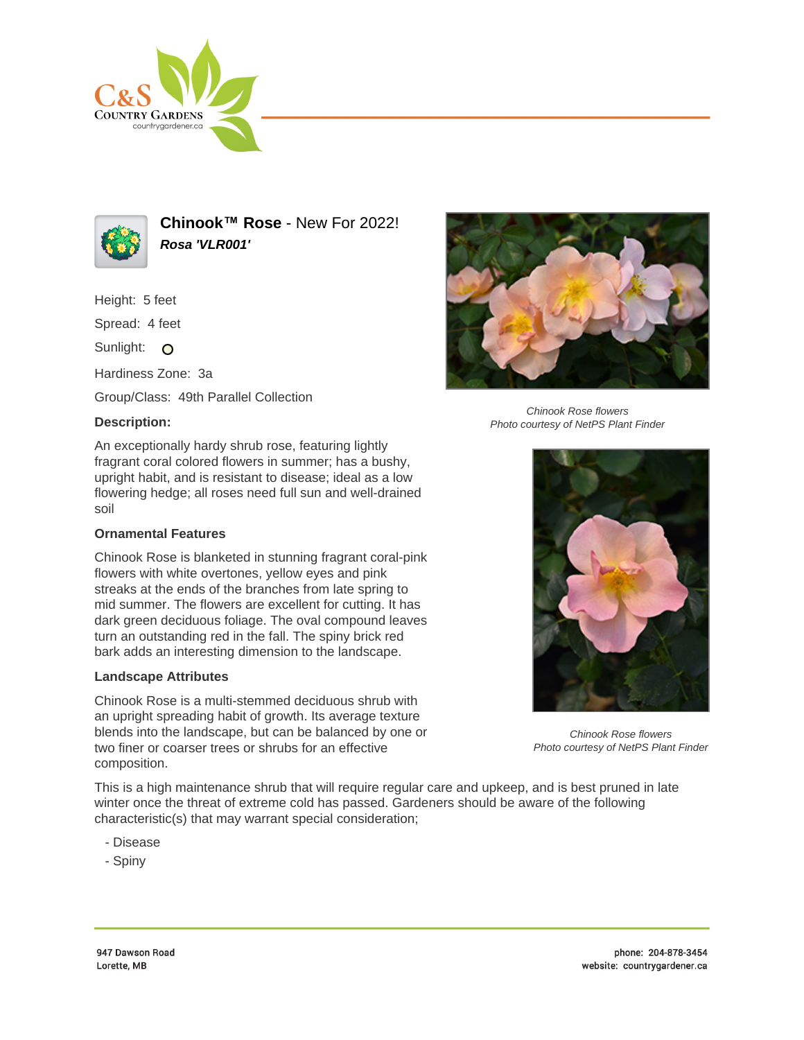



**Chinook™ Rose** - New For 2022! **Rosa 'VLR001'**

Height: 5 feet

Spread: 4 feet

Sunlight: O

Hardiness Zone: 3a

Group/Class: 49th Parallel Collection

## **Description:**

An exceptionally hardy shrub rose, featuring lightly fragrant coral colored flowers in summer; has a bushy, upright habit, and is resistant to disease; ideal as a low flowering hedge; all roses need full sun and well-drained soil

## **Ornamental Features**

Chinook Rose is blanketed in stunning fragrant coral-pink flowers with white overtones, yellow eyes and pink streaks at the ends of the branches from late spring to mid summer. The flowers are excellent for cutting. It has dark green deciduous foliage. The oval compound leaves turn an outstanding red in the fall. The spiny brick red bark adds an interesting dimension to the landscape.

## **Landscape Attributes**

Chinook Rose is a multi-stemmed deciduous shrub with an upright spreading habit of growth. Its average texture blends into the landscape, but can be balanced by one or two finer or coarser trees or shrubs for an effective composition.

This is a high maintenance shrub that will require regular care and upkeep, and is best pruned in late winter once the threat of extreme cold has passed. Gardeners should be aware of the following characteristic(s) that may warrant special consideration;

- Disease
- Spiny



Chinook Rose flowers Photo courtesy of NetPS Plant Finder



Chinook Rose flowers Photo courtesy of NetPS Plant Finder